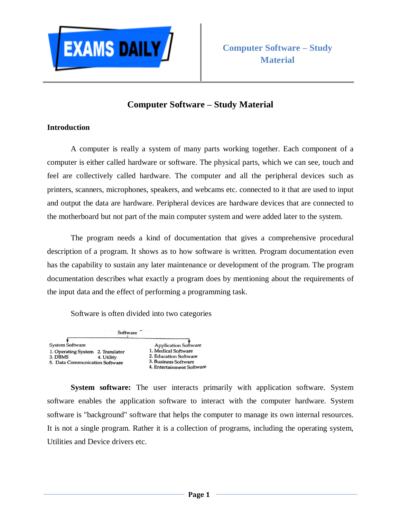

## **Computer Software – Study Material**

## **Introduction**

A computer is really a system of many parts working together. Each component of a computer is either called hardware or software. The physical parts, which we can see, touch and feel are collectively called hardware. The computer and all the peripheral devices such as printers, scanners, microphones, speakers, and webcams etc. connected to it that are used to input and output the data are hardware. Peripheral devices are hardware devices that are connected to the motherboard but not part of the main computer system and were added later to the system.

The program needs a kind of documentation that gives a comprehensive procedural description of a program. It shows as to how software is written. Program documentation even has the capability to sustain any later maintenance or development of the program. The program documentation describes what exactly a program does by mentioning about the requirements of the input data and the effect of performing a programming task.

Software is often divided into two categories



**System software:** The user interacts primarily with application software. System software enables the application software to interact with the computer hardware. System software is "background" software that helps the computer to manage its own internal resources. It is not a single program. Rather it is a collection of programs, including the operating system, Utilities and Device drivers etc.